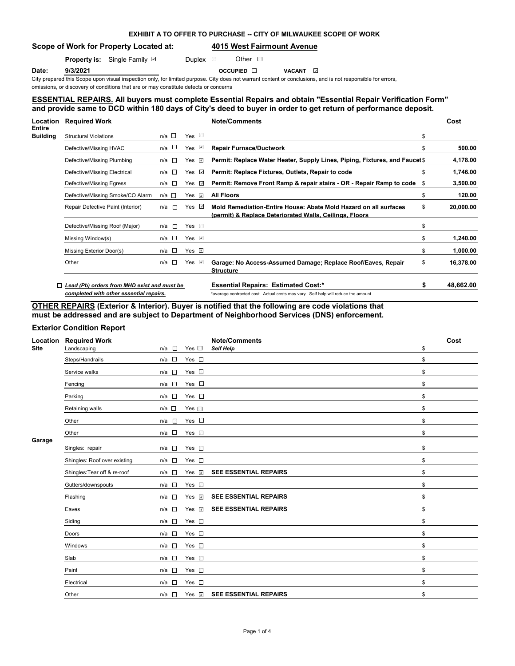# **EXHIBIT A TO OFFER TO PURCHASE -- CITY OF MILWAUKEE SCOPE OF WORK**

# **Scope of Work for Property Located at: 4015 West Fairmount Avenue**

**Property is:** Single Family **D** Duplex **D** Other **D** 

**Date: 9/3/2021 Date: 9/3/2021** 9/3/2021 Date: 9/3/2021 Date: 9/3/2021 Date: Date: 9/3/2021 Date: Date: Date: Date: D

City prepared this Scope upon visual inspection only, for limited purpose. City does not warrant content or conclusions, and is not responsible for errors,

omissions, or discovery of conditions that are or may constitute defects or concerns

## **ESSENTIAL REPAIRS. All buyers must complete Essential Repairs and obtain "Essential Repair Verification Form" and provide same to DCD within 180 days of City's deed to buyer in order to get return of performance deposit.**

| Location<br>Entire | <b>Required Work</b>                        |       |                   |                |                          | <b>Note/Comments</b>                                                                                                        | Cost            |
|--------------------|---------------------------------------------|-------|-------------------|----------------|--------------------------|-----------------------------------------------------------------------------------------------------------------------------|-----------------|
| Building           | <b>Structural Violations</b>                | n/a   |                   | Yes $\Box$     |                          |                                                                                                                             | \$              |
|                    | Defective/Missing HVAC                      | n/a   |                   | Yes            | $\omega$                 | <b>Repair Furnace/Ductwork</b>                                                                                              | \$<br>500.00    |
|                    | Defective/Missing Plumbing                  | n/a   | $\sim$            | Yes            | $\sim$                   | Permit: Replace Water Heater, Supply Lines, Piping, Fixtures, and Faucet \$                                                 | 4,178.00        |
|                    | Defective/Missing Electrical                | n/a   | <b>IF</b>         | Yes            | $\omega$                 | Permit: Replace Fixtures, Outlets, Repair to code                                                                           | \$<br>1,746.00  |
|                    | Defective/Missing Egress                    | n/a   | - m               | Yes            | $\omega$                 | Permit: Remove Front Ramp & repair stairs - OR - Repair Ramp to code                                                        | \$<br>3,500.00  |
|                    | Defective/Missing Smoke/CO Alarm            | n/a □ |                   | Yes            | $\omega$                 | <b>All Floors</b>                                                                                                           | \$<br>120.00    |
|                    | Repair Defective Paint (Interior)           | n/a   | $\sim$            | Yes $\sqrt{ }$ |                          | Mold Remediation-Entire House: Abate Mold Hazard on all surfaces<br>(permit) & Replace Deteriorated Walls, Ceilings, Floors | \$<br>20,000.00 |
|                    | Defective/Missing Roof (Major)              | n/a   | <b>n</b>          | Yes $\square$  |                          |                                                                                                                             | \$              |
|                    | Missing Window(s)                           | n/a □ |                   | Yes $\sqrt{ }$ |                          |                                                                                                                             | \$<br>1,240.00  |
|                    | Missing Exterior Door(s)                    | n/a □ |                   | Yes $\sqrt{2}$ |                          |                                                                                                                             | \$<br>1,000.00  |
|                    | Other                                       | n/a   | <b>CONTRACTOR</b> | Yes            | $\overline{\phantom{a}}$ | Garage: No Access-Assumed Damage; Replace Roof/Eaves, Repair<br><b>Structure</b>                                            | \$<br>16,378.00 |
|                    | Lead (Pb) orders from MHD exist and must be |       |                   |                |                          | <b>Essential Repairs: Estimated Cost:*</b>                                                                                  | 48,662.00       |
|                    | completed with other essential repairs.     |       |                   |                |                          | *average contracted cost. Actual costs may vary. Self help will reduce the amount.                                          |                 |

**OTHER REPAIRS (Exterior & Interior). Buyer is notified that the following are code violations that must be addressed and are subject to Department of Neighborhood Services (DNS) enforcement.**

## **Exterior Condition Report**

| Location<br><b>Site</b> | <b>Required Work</b><br>Landscaping | n/a<br>$\mathbb{R}^n$ | Yes $\square$      | <b>Note/Comments</b><br><b>Self Help</b> | \$<br>Cost |
|-------------------------|-------------------------------------|-----------------------|--------------------|------------------------------------------|------------|
|                         | Steps/Handrails                     | $n/a$ $\square$       | Yes $\square$      |                                          | \$         |
|                         | Service walks                       | $n/a$ $\square$       | Yes $\square$      |                                          | \$         |
|                         | Fencing                             | $n/a$ $\square$       | Yes $\square$      |                                          | \$         |
|                         | Parking                             | $n/a$ $\square$       | Yes $\square$      |                                          | \$         |
|                         | Retaining walls                     | $n/a$ $\Box$          | Yes $\square$      |                                          | \$         |
|                         | Other                               | n/a<br>$\overline{a}$ | Yes $\square$      |                                          | \$         |
|                         | Other                               | $n/a$ $\square$       | Yes $\square$      |                                          | \$         |
| Garage                  | Singles: repair                     | $n/a$ $\square$       | Yes $\square$      |                                          | \$         |
|                         | Shingles: Roof over existing        | $n/a$ $\square$       | Yes $\square$      |                                          | \$         |
|                         | Shingles: Tear off & re-roof        | $n/a$ $\square$       | Yes v              | <b>SEE ESSENTIAL REPAIRS</b>             | \$         |
|                         | Gutters/downspouts                  | $n/a$ $\square$       | Yes $\square$      |                                          | \$         |
|                         | Flashing                            | $n/a$ $\square$       | Yes v              | <b>SEE ESSENTIAL REPAIRS</b>             | \$         |
|                         | Eaves                               | $n/a$ $\square$       | Yes $\overline{v}$ | <b>SEE ESSENTIAL REPAIRS</b>             | \$         |
|                         | Siding                              | $n/a$ $\square$       | Yes $\square$      |                                          | \$         |
|                         | Doors                               | $n/a$ $\square$       | Yes $\square$      |                                          | \$         |
|                         | Windows                             | $n/a$ $\square$       | Yes $\square$      |                                          | \$         |
|                         | Slab                                | $n/a$ $\square$       | Yes $\square$      |                                          | \$         |
|                         | Paint                               | $\mathbb{R}^n$<br>n/a | Yes $\square$      |                                          | \$         |
|                         | Electrical                          | $n/a$ $\square$       | Yes $\square$      |                                          | \$         |
|                         | Other                               | $n/a$ $\square$       | Yes $\sqrt{2}$     | <b>SEE ESSENTIAL REPAIRS</b>             | \$         |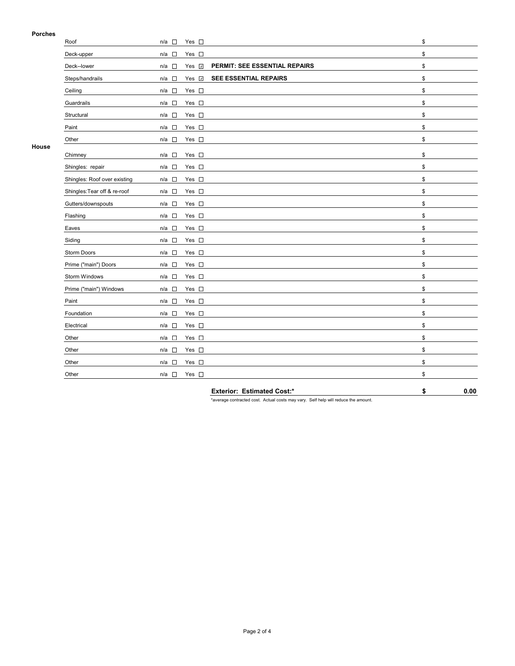## **Porches**

| Porcnes |                              |                                                                        |    |
|---------|------------------------------|------------------------------------------------------------------------|----|
|         | Roof                         | $n/a$ $\square$<br>Yes $\square$                                       | \$ |
|         | Deck-upper                   | Yes $\square$<br>$n/a$ $\square$                                       | \$ |
|         | Deck--lower                  | PERMIT: SEE ESSENTIAL REPAIRS<br>Yes $\overline{V}$<br>$n/a$ $\square$ | \$ |
|         | Steps/handrails              | SEE ESSENTIAL REPAIRS<br>Yes v<br>$n/a$ $\square$                      | \$ |
|         | Ceiling                      | $\Box$<br>Yes $\square$<br>n/a                                         | \$ |
|         | Guardrails                   | Yes $\square$<br>$n/a$ $\Box$                                          | \$ |
|         | Structural                   | Yes $\square$<br>$n/a$ $\square$                                       | \$ |
|         | Paint                        | Yes $\square$<br>n/a □                                                 | \$ |
|         | Other                        | Yes $\square$<br>$n/a$ $\square$                                       | \$ |
| House   | Chimney                      | Yes $\square$<br>$n/a$ $\square$                                       | \$ |
|         | Shingles: repair             | Yes $\square$<br>$n/a$ $\square$                                       | \$ |
|         | Shingles: Roof over existing | Yes $\square$<br>$n/a$ $\square$                                       | \$ |
|         | Shingles: Tear off & re-roof | Yes $\square$<br>$n/a$ $\square$                                       | \$ |
|         | Gutters/downspouts           | Yes $\square$<br>$n/a$ $\square$                                       | \$ |
|         | Flashing                     | Yes $\square$<br>$n/a$ $\square$                                       | \$ |
|         | Eaves                        | Yes $\square$<br>$n/a$ $\square$                                       | \$ |
|         | Siding                       | Yes $\square$<br>$n/a$ $\square$                                       | \$ |
|         | <b>Storm Doors</b>           | Yes $\square$<br>$n/a$ $\square$                                       | \$ |
|         | Prime ("main") Doors         | Yes $\square$<br>$n/a$ $\square$                                       | \$ |
|         | Storm Windows                | Yes $\square$<br>$n/a$ $\square$                                       | \$ |
|         | Prime ("main") Windows       | Yes $\square$<br>$n/a$ $\square$                                       | \$ |
|         | Paint                        | Yes $\square$<br>$n/a$ $\square$                                       | \$ |
|         | Foundation                   | Yes $\square$<br>$n/a$ $\square$                                       | \$ |
|         | Electrical                   | Yes $\square$<br>$n/a$ $\square$                                       | \$ |
|         | Other                        | Yes $\square$<br>$n/a$ $\square$                                       | \$ |
|         | Other                        | Yes $\square$<br>$n/a$ $\square$                                       | \$ |
|         | Other                        | Yes $\square$<br>n/a<br>$\sim$                                         | \$ |
|         | Other                        | $n/a$ $\square$<br>Yes $\square$                                       | \$ |
|         |                              |                                                                        |    |

**Exterior: Estimated Cost:\* \$ 0.00**

\*average contracted cost. Actual costs may vary. Self help will reduce the amount.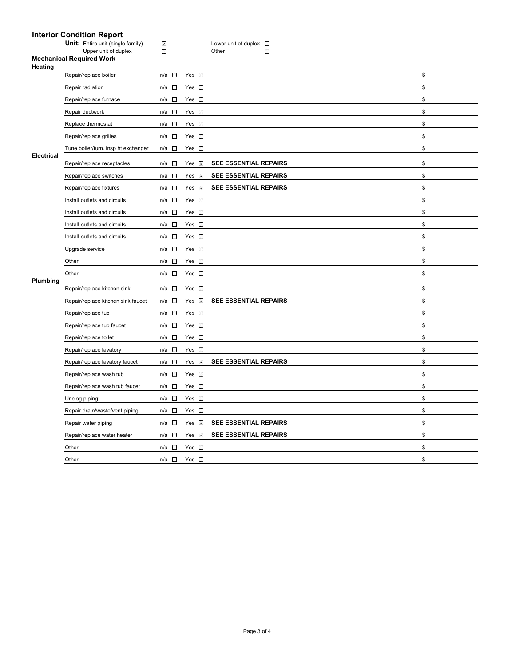# **Interior Condition Report**

| <b>Unit:</b> Entire unit (single family) |
|------------------------------------------|
| Upper unit of duplex                     |

**U**<br>
Unit of duplex D<br>
Unit of duplex D

## **Mechanical Required Work**

| Heating           |                                     |                 |                    |                              |    |
|-------------------|-------------------------------------|-----------------|--------------------|------------------------------|----|
|                   | Repair/replace boiler               | n/a □           | Yes $\square$      |                              | \$ |
|                   | Repair radiation                    | $n/a$ $\square$ | Yes $\square$      |                              | \$ |
|                   | Repair/replace furnace              | n/a □           | Yes $\square$      |                              | \$ |
|                   | Repair ductwork                     | n/a $\square$   | Yes $\square$      |                              | \$ |
|                   | Replace thermostat                  | $n/a$ $\square$ | Yes $\square$      |                              | \$ |
|                   | Repair/replace grilles              | n/a □           | Yes $\square$      |                              | \$ |
|                   | Tune boiler/furn. insp ht exchanger | n/a $\square$   | Yes $\square$      |                              | \$ |
| <b>Electrical</b> | Repair/replace receptacles          | n/a □           | Yes $\overline{v}$ | <b>SEE ESSENTIAL REPAIRS</b> | \$ |
|                   | Repair/replace switches             | $n/a$ $\square$ | Yes $\sqrt{2}$     | <b>SEE ESSENTIAL REPAIRS</b> | \$ |
|                   | Repair/replace fixtures             | $n/a$ $\square$ | Yes V              | <b>SEE ESSENTIAL REPAIRS</b> | \$ |
|                   | Install outlets and circuits        | n/a □           | Yes $\square$      |                              | \$ |
|                   | Install outlets and circuits        | $n/a$ $\square$ | Yes $\square$      |                              | \$ |
|                   | Install outlets and circuits        | $n/a$ $\square$ | Yes $\square$      |                              | \$ |
|                   | Install outlets and circuits        | n/a $\square$   | Yes $\square$      |                              | \$ |
|                   | Upgrade service                     | $n/a$ $\square$ | Yes $\square$      |                              | \$ |
|                   | Other                               | $n/a$ $\square$ | Yes $\square$      |                              | \$ |
|                   | Other                               | $n/a$ $\square$ | Yes $\square$      |                              | \$ |
| Plumbing          | Repair/replace kitchen sink         | $n/a$ $\square$ | Yes $\square$      |                              | \$ |
|                   | Repair/replace kitchen sink faucet  | n/a □           | Yes <b>v</b>       | SEE ESSENTIAL REPAIRS        | \$ |
|                   | Repair/replace tub                  | $n/a$ $\square$ | Yes $\square$      |                              | \$ |
|                   | Repair/replace tub faucet           | $n/a$ $\square$ | Yes $\square$      |                              | \$ |
|                   | Repair/replace toilet               | n/a □           | Yes $\square$      |                              | \$ |
|                   | Repair/replace lavatory             | $n/a$ $\square$ | Yes $\square$      |                              | \$ |
|                   | Repair/replace lavatory faucet      | n/a $\square$   | Yes <b>⊽</b>       | <b>SEE ESSENTIAL REPAIRS</b> | \$ |
|                   | Repair/replace wash tub             | n/a $\square$   | Yes $\square$      |                              | \$ |
|                   | Repair/replace wash tub faucet      | n/a □           | Yes $\square$      |                              | \$ |
|                   | Unclog piping:                      | $n/a$ $\square$ | Yes $\square$      |                              | \$ |
|                   | Repair drain/waste/vent piping      | n/a $\square$   | Yes $\square$      |                              | \$ |
|                   | Repair water piping                 | $n/a$ $\square$ | Yes $\sqrt{2}$     | <b>SEE ESSENTIAL REPAIRS</b> | \$ |
|                   | Repair/replace water heater         | $n/a$ $\square$ | Yes <b>⊽</b>       | <b>SEE ESSENTIAL REPAIRS</b> | \$ |
|                   | Other                               | $n/a$ $\square$ | Yes $\square$      |                              | \$ |
|                   | Other                               | $n/a$ $\square$ | Yes $\square$      |                              | \$ |
|                   |                                     |                 |                    |                              |    |